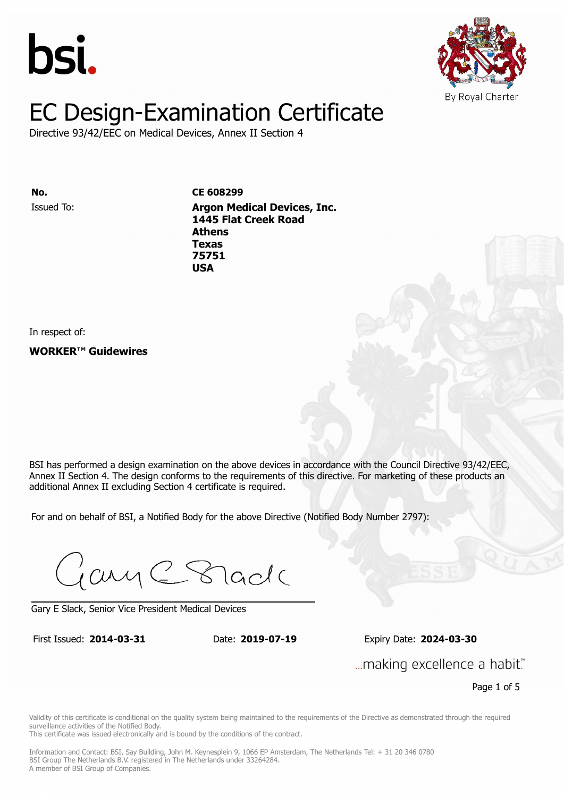



Directive 93/42/EEC on Medical Devices, Annex II Section 4

Issued To: **Argon Medical Devices, Inc. No. CE 608299 1445 Flat Creek Road Athens** Issued To: **Argon Medical Devices, Inc. Texas 1445 Flat Creek Road 75751 Athens Texas 75751 USA**

In respect of:

**WORKER™ Guidewires**

BSI has performed a design examination on the above devices in accordance with the Council Directive 93/42/EEC, Annex II Section 4. The design conforms to the requirements of this directive. For marketing of these products an additional Annex II excluding Section 4 certificate is required.

For and on behalf of BSI, a Notified Body for the above Directive (Notified Body Number 2797):

Gary C Stade

Gary E Slack, Senior Vice President Medical Devices

First Issued: **2014-03-31** Date: **2019-07-19** Expiry Date: **2024-03-30** First Issued: **2014-03-31** Date: **2019-07-19** Expiry Date: **2024-03-30**

... making excellence a habit."

Page 1 of 5

Validity of this certificate is conditional on the quality system being maintained to the requirements of the Directive as demonstrated through the required surveillance activities of the Notified Body.

This certificate was issued electronically and is bound by the conditions of the contract.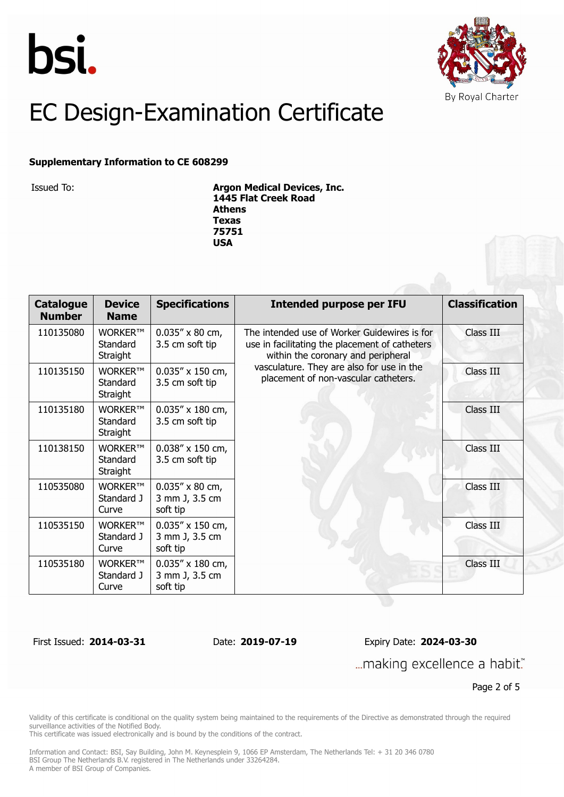



#### **Supplementary Information to CE 608299**

Issued To: **Argon Medical Devices, Inc. 1445 Flat Creek Road Athens Texas 75751 USA**

| <b>Catalogue</b><br><b>Number</b> | <b>Device</b><br><b>Name</b>    | <b>Specifications</b>                                  | <b>Intended purpose per IFU</b>                                                                                                                                                                                           | <b>Classification</b> |
|-----------------------------------|---------------------------------|--------------------------------------------------------|---------------------------------------------------------------------------------------------------------------------------------------------------------------------------------------------------------------------------|-----------------------|
| 110135080                         | WORKER™<br>Standard<br>Straight | $0.035'' \times 80$ cm,<br>3.5 cm soft tip             | The intended use of Worker Guidewires is for<br>use in facilitating the placement of catheters<br>within the coronary and peripheral<br>vasculature. They are also for use in the<br>placement of non-vascular catheters. | Class III             |
| 110135150                         | WORKER™<br>Standard<br>Straight | $0.035'' \times 150$ cm,<br>3.5 cm soft tip            |                                                                                                                                                                                                                           | Class III             |
| 110135180                         | WORKER™<br>Standard<br>Straight | $0.035'' \times 180$ cm,<br>3.5 cm soft tip            |                                                                                                                                                                                                                           | Class III             |
| 110138150                         | WORKER™<br>Standard<br>Straight | $0.038'' \times 150$ cm,<br>3.5 cm soft tip            |                                                                                                                                                                                                                           | Class III             |
| 110535080                         | WORKER™<br>Standard J<br>Curve  | $0.035'' \times 80$ cm,<br>3 mm J, 3.5 cm<br>soft tip  |                                                                                                                                                                                                                           | Class III             |
| 110535150                         | WORKER™<br>Standard J<br>Curve  | $0.035'' \times 150$ cm,<br>3 mm J, 3.5 cm<br>soft tip |                                                                                                                                                                                                                           | Class III             |
| 110535180                         | WORKER™<br>Standard J<br>Curve  | $0.035'' \times 180$ cm,<br>3 mm J, 3.5 cm<br>soft tip |                                                                                                                                                                                                                           | Class III             |

First Issued: **2014-03-31** Date: **2019-07-19** Expiry Date: **2024-03-30**

... making excellence a habit."

Page 2 of 5

Validity of this certificate is conditional on the quality system being maintained to the requirements of the Directive as demonstrated through the required surveillance activities of the Notified Body.

This certificate was issued electronically and is bound by the conditions of the contract.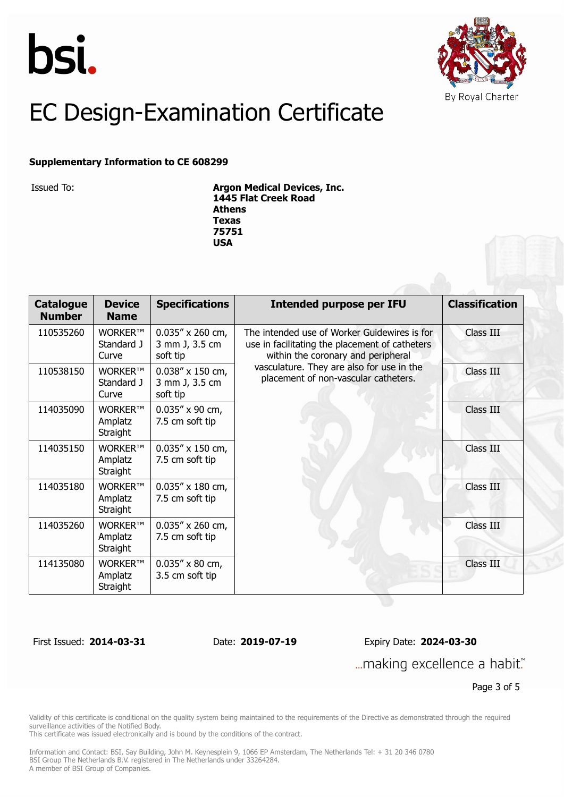



#### **Supplementary Information to CE 608299**

Issued To: **Argon Medical Devices, Inc. 1445 Flat Creek Road Athens Texas 75751 USA**

| <b>Catalogue</b><br><b>Number</b> | <b>Device</b><br><b>Name</b>   | <b>Specifications</b>                                  | <b>Intended purpose per IFU</b>                                                                                                                                                                                           | <b>Classification</b> |
|-----------------------------------|--------------------------------|--------------------------------------------------------|---------------------------------------------------------------------------------------------------------------------------------------------------------------------------------------------------------------------------|-----------------------|
| 110535260                         | WORKER™<br>Standard J<br>Curve | $0.035''$ x 260 cm,<br>3 mm J, 3.5 cm<br>soft tip      | The intended use of Worker Guidewires is for<br>use in facilitating the placement of catheters<br>within the coronary and peripheral<br>vasculature. They are also for use in the<br>placement of non-vascular catheters. | Class III             |
| 110538150                         | WORKER™<br>Standard J<br>Curve | $0.038'' \times 150$ cm,<br>3 mm J, 3.5 cm<br>soft tip |                                                                                                                                                                                                                           | Class III             |
| 114035090                         | WORKER™<br>Amplatz<br>Straight | $0.035''$ x 90 cm,<br>7.5 cm soft tip                  |                                                                                                                                                                                                                           | Class III             |
| 114035150                         | WORKER™<br>Amplatz<br>Straight | $0.035'' \times 150$ cm,<br>7.5 cm soft tip            |                                                                                                                                                                                                                           | Class III             |
| 114035180                         | WORKER™<br>Amplatz<br>Straight | $0.035'' \times 180$ cm,<br>7.5 cm soft tip            |                                                                                                                                                                                                                           | Class III             |
| 114035260                         | WORKER™<br>Amplatz<br>Straight | $0.035''$ x 260 cm,<br>7.5 cm soft tip                 |                                                                                                                                                                                                                           | Class III             |
| 114135080                         | WORKER™<br>Amplatz<br>Straight | $0.035'' \times 80$ cm,<br>3.5 cm soft tip             |                                                                                                                                                                                                                           | Class III             |

First Issued: **2014-03-31** Date: **2019-07-19** Expiry Date: **2024-03-30**

... making excellence a habit."

Page 3 of 5

Validity of this certificate is conditional on the quality system being maintained to the requirements of the Directive as demonstrated through the required surveillance activities of the Notified Body.

This certificate was issued electronically and is bound by the conditions of the contract.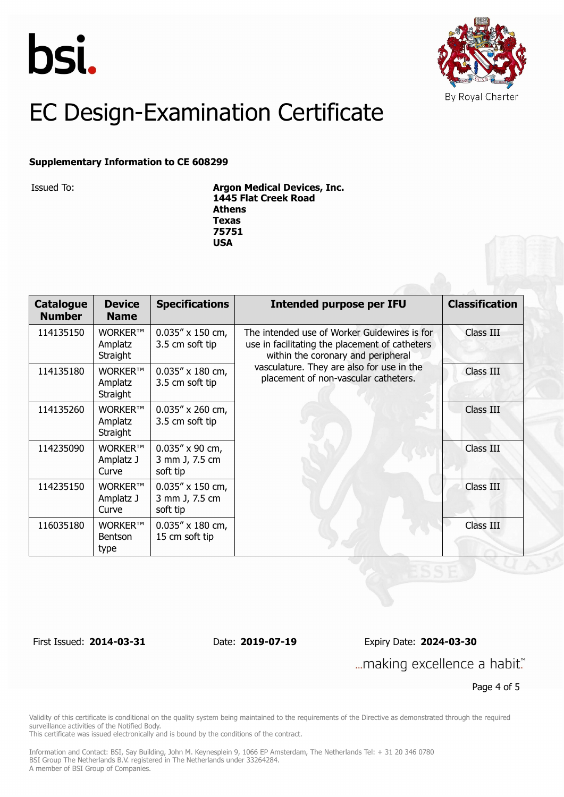



#### **Supplementary Information to CE 608299**

Issued To: **Argon Medical Devices, Inc. 1445 Flat Creek Road Athens Texas 75751 USA**

| <b>Catalogue</b><br><b>Number</b> | <b>Device</b><br><b>Name</b>             | <b>Specifications</b>                                  | <b>Intended purpose per IFU</b>                                                                                                                                                                                           | <b>Classification</b> |
|-----------------------------------|------------------------------------------|--------------------------------------------------------|---------------------------------------------------------------------------------------------------------------------------------------------------------------------------------------------------------------------------|-----------------------|
| 114135150                         | <b>WORKER™</b><br>Amplatz<br>Straight    | $0.035'' \times 150$ cm,<br>3.5 cm soft tip            | The intended use of Worker Guidewires is for<br>use in facilitating the placement of catheters<br>within the coronary and peripheral<br>vasculature. They are also for use in the<br>placement of non-vascular catheters. | Class III             |
| 114135180                         | WORKER™<br>Amplatz<br>Straight           | $0.035'' \times 180$ cm,<br>3.5 cm soft tip            |                                                                                                                                                                                                                           | Class III             |
| 114135260                         | WORKER™<br>Amplatz<br>Straight           | $0.035''$ x 260 cm,<br>3.5 cm soft tip                 |                                                                                                                                                                                                                           | Class III             |
| 114235090                         | WORKER™<br>Amplatz J<br>Curve            | $0.035''$ x 90 cm,<br>3 mm J, 7.5 cm<br>soft tip       |                                                                                                                                                                                                                           | Class III             |
| 114235150                         | <b>WORKER™</b><br>Amplatz J<br>Curve     | $0.035'' \times 150$ cm,<br>3 mm J, 7.5 cm<br>soft tip |                                                                                                                                                                                                                           | Class III             |
| 116035180                         | <b>WORKER™</b><br><b>Bentson</b><br>type | $0.035'' \times 180$ cm,<br>15 cm soft tip             |                                                                                                                                                                                                                           | Class III             |

First Issued: **2014-03-31** Date: **2019-07-19** Expiry Date: **2024-03-30**

... making excellence a habit."

Page 4 of 5

Validity of this certificate is conditional on the quality system being maintained to the requirements of the Directive as demonstrated through the required surveillance activities of the Notified Body.

This certificate was issued electronically and is bound by the conditions of the contract.